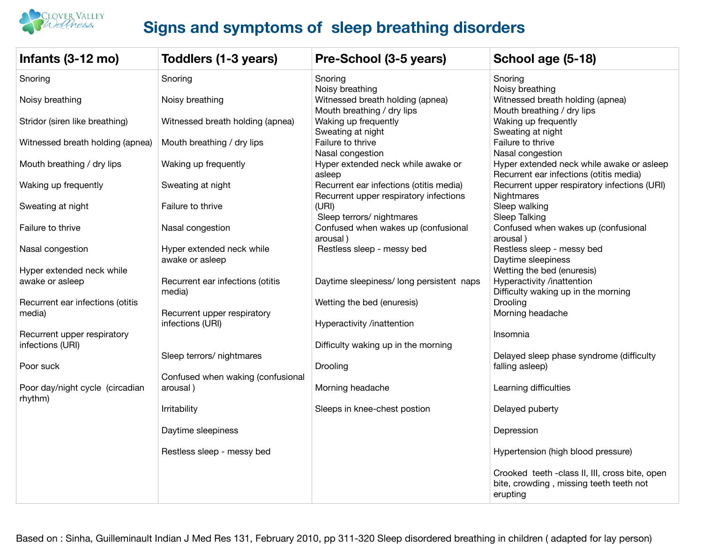

## **Signs and symptoms of sleep breathing disorders**

| Infants (3-12 mo)                               | Toddlers (1-3 years)                            | Pre-School (3-5 years)                                                            | School age (5-18)                                                                                     |
|-------------------------------------------------|-------------------------------------------------|-----------------------------------------------------------------------------------|-------------------------------------------------------------------------------------------------------|
| Snoring                                         | Snoring                                         | Snoring                                                                           | Snoring                                                                                               |
| Noisy breathing                                 | Noisy breathing                                 | Noisy breathing<br>Witnessed breath holding (apnea)<br>Mouth breathing / dry lips | Noisy breathing<br>Witnessed breath holding (apnea)<br>Mouth breathing / dry lips                     |
| Stridor (siren like breathing)                  | Witnessed breath holding (apnea)                | Waking up frequently<br>Sweating at night                                         | Waking up frequently<br>Sweating at night                                                             |
| Witnessed breath holding (apnea)                | Mouth breathing / dry lips                      | Failure to thrive<br>Nasal congestion                                             | Failure to thrive<br>Nasal congestion                                                                 |
| Mouth breathing / dry lips                      | Waking up frequently                            | Hyper extended neck while awake or<br>asleep                                      | Hyper extended neck while awake or asleep<br>Recurrent ear infections (otitis media)                  |
| Waking up frequently                            | Sweating at night                               | Recurrent ear infections (otitis media)<br>Recurrent upper respiratory infections | Recurrent upper respiratory infections (URI)<br>Nightmares                                            |
| Sweating at night                               | Failure to thrive                               | (URI)<br>Sleep terrors/ nightmares                                                | Sleep walking<br>Sleep Talking                                                                        |
| Failure to thrive                               | Nasal congestion                                | Confused when wakes up (confusional<br>arousal)                                   | Confused when wakes up (confusional<br>arousal)                                                       |
| Nasal congestion                                | Hyper extended neck while<br>awake or asleep    | Restless sleep - messy bed                                                        | Restless sleep - messy bed<br>Daytime sleepiness                                                      |
| Hyper extended neck while                       |                                                 |                                                                                   | Wetting the bed (enuresis)                                                                            |
| awake or asleep                                 | Recurrent ear infections (otitis<br>media)      | Daytime sleepiness/long persistent naps                                           | Hyperactivity /inattention<br>Difficulty waking up in the morning                                     |
| Recurrent ear infections (otitis                |                                                 | Wetting the bed (enuresis)                                                        | Drooling                                                                                              |
| media)                                          | Recurrent upper respiratory<br>infections (URI) | Hyperactivity /inattention                                                        | Morning headache                                                                                      |
| Recurrent upper respiratory<br>infections (URI) |                                                 | Difficulty waking up in the morning                                               | Insomnia                                                                                              |
|                                                 | Sleep terrors/ nightmares                       |                                                                                   | Delayed sleep phase syndrome (difficulty                                                              |
| Poor suck                                       | Confused when waking (confusional               | Drooling                                                                          | falling asleep)                                                                                       |
| Poor day/night cycle (circadian<br>rhythm)      | arousal)                                        | Morning headache                                                                  | Learning difficulties                                                                                 |
|                                                 | Irritability                                    | Sleeps in knee-chest postion                                                      | Delayed puberty                                                                                       |
|                                                 | Daytime sleepiness                              |                                                                                   | Depression                                                                                            |
|                                                 | Restless sleep - messy bed                      |                                                                                   | Hypertension (high blood pressure)                                                                    |
|                                                 |                                                 |                                                                                   | Crooked teeth -class II, III, cross bite, open<br>bite, crowding, missing teeth teeth not<br>erupting |